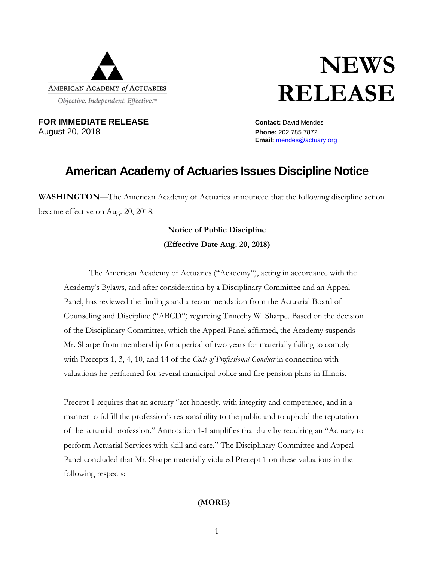

## **NEWS RELEASE**

**FOR IMMEDIATE RELEASE CONTACT:** David Mendes August 20, 2018 **Phone:** 202.785.7872

**Email:** [mendes@actuary.org](mailto:mendes@actuary.org)

## **American Academy of Actuaries Issues Discipline Notice**

**WASHINGTON—**The American Academy of Actuaries announced that the following discipline action became effective on Aug. 20, 2018.

## **Notice of Public Discipline (Effective Date Aug. 20, 2018)**

The American Academy of Actuaries ("Academy"), acting in accordance with the Academy's Bylaws, and after consideration by a Disciplinary Committee and an Appeal Panel, has reviewed the findings and a recommendation from the Actuarial Board of Counseling and Discipline ("ABCD") regarding Timothy W. Sharpe. Based on the decision of the Disciplinary Committee, which the Appeal Panel affirmed, the Academy suspends Mr. Sharpe from membership for a period of two years for materially failing to comply with Precepts 1, 3, 4, 10, and 14 of the *Code of Professional Conduct* in connection with valuations he performed for several municipal police and fire pension plans in Illinois.

Precept 1 requires that an actuary "act honestly, with integrity and competence, and in a manner to fulfill the profession's responsibility to the public and to uphold the reputation of the actuarial profession." Annotation 1-1 amplifies that duty by requiring an "Actuary to perform Actuarial Services with skill and care." The Disciplinary Committee and Appeal Panel concluded that Mr. Sharpe materially violated Precept 1 on these valuations in the following respects:

## **(MORE)**

1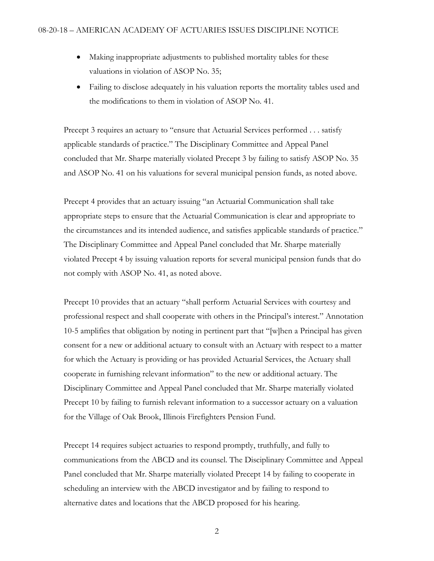- Making inappropriate adjustments to published mortality tables for these valuations in violation of ASOP No. 35;
- Failing to disclose adequately in his valuation reports the mortality tables used and the modifications to them in violation of ASOP No. 41.

Precept 3 requires an actuary to "ensure that Actuarial Services performed . . . satisfy applicable standards of practice." The Disciplinary Committee and Appeal Panel concluded that Mr. Sharpe materially violated Precept 3 by failing to satisfy ASOP No. 35 and ASOP No. 41 on his valuations for several municipal pension funds, as noted above.

Precept 4 provides that an actuary issuing "an Actuarial Communication shall take appropriate steps to ensure that the Actuarial Communication is clear and appropriate to the circumstances and its intended audience, and satisfies applicable standards of practice." The Disciplinary Committee and Appeal Panel concluded that Mr. Sharpe materially violated Precept 4 by issuing valuation reports for several municipal pension funds that do not comply with ASOP No. 41, as noted above.

Precept 10 provides that an actuary "shall perform Actuarial Services with courtesy and professional respect and shall cooperate with others in the Principal's interest." Annotation 10-5 amplifies that obligation by noting in pertinent part that "[w]hen a Principal has given consent for a new or additional actuary to consult with an Actuary with respect to a matter for which the Actuary is providing or has provided Actuarial Services, the Actuary shall cooperate in furnishing relevant information" to the new or additional actuary. The Disciplinary Committee and Appeal Panel concluded that Mr. Sharpe materially violated Precept 10 by failing to furnish relevant information to a successor actuary on a valuation for the Village of Oak Brook, Illinois Firefighters Pension Fund.

Precept 14 requires subject actuaries to respond promptly, truthfully, and fully to communications from the ABCD and its counsel. The Disciplinary Committee and Appeal Panel concluded that Mr. Sharpe materially violated Precept 14 by failing to cooperate in scheduling an interview with the ABCD investigator and by failing to respond to alternative dates and locations that the ABCD proposed for his hearing.

2